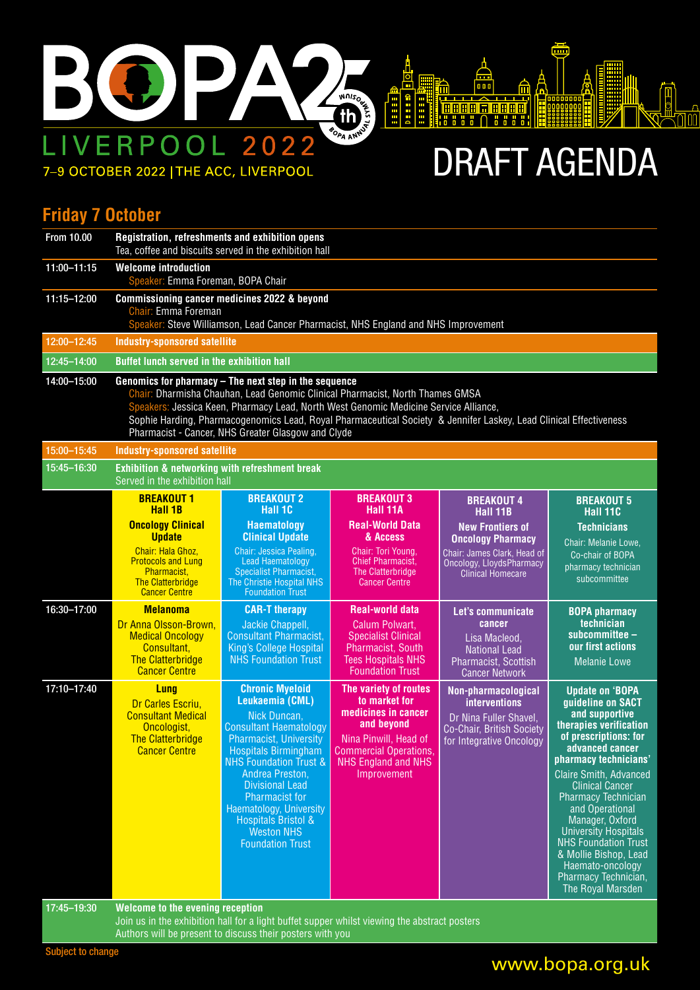

7-9 OCTOBER 2022 | THE ACC, LIVERPOOL

DRAFT AGENDA

卨

₩

 $\sqrt{\mathbb{E}}$ 

 $\sqrt[4]{10}$ 

#### **Friday 7 October**

| <b>From 10.00</b> | Registration, refreshments and exhibition opens<br>Tea, coffee and biscuits served in the exhibition hall                                                                                                                                                                                                                                                                                                  |                                                                                                                                                                                                                                                                                                                                                                                    |                                                                                                                                                                                    |                                                                                                                                            |                                                                                                                                                                                                                                                                                                                                                                                                                                                     |  |  |
|-------------------|------------------------------------------------------------------------------------------------------------------------------------------------------------------------------------------------------------------------------------------------------------------------------------------------------------------------------------------------------------------------------------------------------------|------------------------------------------------------------------------------------------------------------------------------------------------------------------------------------------------------------------------------------------------------------------------------------------------------------------------------------------------------------------------------------|------------------------------------------------------------------------------------------------------------------------------------------------------------------------------------|--------------------------------------------------------------------------------------------------------------------------------------------|-----------------------------------------------------------------------------------------------------------------------------------------------------------------------------------------------------------------------------------------------------------------------------------------------------------------------------------------------------------------------------------------------------------------------------------------------------|--|--|
| 11:00-11:15       | <b>Welcome introduction</b><br>Speaker: Emma Foreman, BOPA Chair                                                                                                                                                                                                                                                                                                                                           |                                                                                                                                                                                                                                                                                                                                                                                    |                                                                                                                                                                                    |                                                                                                                                            |                                                                                                                                                                                                                                                                                                                                                                                                                                                     |  |  |
| 11:15-12:00       | Commissioning cancer medicines 2022 & beyond<br>Chair: Emma Foreman<br>Speaker: Steve Williamson, Lead Cancer Pharmacist, NHS England and NHS Improvement                                                                                                                                                                                                                                                  |                                                                                                                                                                                                                                                                                                                                                                                    |                                                                                                                                                                                    |                                                                                                                                            |                                                                                                                                                                                                                                                                                                                                                                                                                                                     |  |  |
| 12:00-12:45       | Industry-sponsored satellite                                                                                                                                                                                                                                                                                                                                                                               |                                                                                                                                                                                                                                                                                                                                                                                    |                                                                                                                                                                                    |                                                                                                                                            |                                                                                                                                                                                                                                                                                                                                                                                                                                                     |  |  |
| 12:45-14:00       | Buffet lunch served in the exhibition hall                                                                                                                                                                                                                                                                                                                                                                 |                                                                                                                                                                                                                                                                                                                                                                                    |                                                                                                                                                                                    |                                                                                                                                            |                                                                                                                                                                                                                                                                                                                                                                                                                                                     |  |  |
| 14:00-15:00       | Genomics for pharmacy - The next step in the sequence<br>Chair: Dharmisha Chauhan, Lead Genomic Clinical Pharmacist, North Thames GMSA<br>Speakers: Jessica Keen, Pharmacy Lead, North West Genomic Medicine Service Alliance,<br>Sophie Harding, Pharmacogenomics Lead, Royal Pharmaceutical Society & Jennifer Laskey, Lead Clinical Effectiveness<br>Pharmacist - Cancer, NHS Greater Glasgow and Clyde |                                                                                                                                                                                                                                                                                                                                                                                    |                                                                                                                                                                                    |                                                                                                                                            |                                                                                                                                                                                                                                                                                                                                                                                                                                                     |  |  |
| 15:00-15:45       | <b>Industry-sponsored satellite</b>                                                                                                                                                                                                                                                                                                                                                                        |                                                                                                                                                                                                                                                                                                                                                                                    |                                                                                                                                                                                    |                                                                                                                                            |                                                                                                                                                                                                                                                                                                                                                                                                                                                     |  |  |
| 15:45-16:30       |                                                                                                                                                                                                                                                                                                                                                                                                            | Exhibition & networking with refreshment break<br>Served in the exhibition hall                                                                                                                                                                                                                                                                                                    |                                                                                                                                                                                    |                                                                                                                                            |                                                                                                                                                                                                                                                                                                                                                                                                                                                     |  |  |
|                   | <b>BREAKOUT 1</b><br>Hall 1B                                                                                                                                                                                                                                                                                                                                                                               | <b>BREAKOUT 2</b><br>Hall 1C                                                                                                                                                                                                                                                                                                                                                       | <b>BREAKOUT 3</b><br>Hall 11A                                                                                                                                                      | <b>BREAKOUT 4</b><br>Hall 11B                                                                                                              | <b>BREAKOUT 5</b><br>Hall 11C                                                                                                                                                                                                                                                                                                                                                                                                                       |  |  |
|                   | <b>Oncology Clinical</b><br><b>Update</b><br>Chair: Hala Ghoz,<br><b>Protocols and Lung</b><br>Pharmacist,<br><b>The Clatterbridge</b><br><b>Cancer Centre</b>                                                                                                                                                                                                                                             | Haematology<br><b>Clinical Update</b><br>Chair: Jessica Pealing,<br>Lead Haematology<br><b>Specialist Pharmacist,</b><br>The Christie Hospital NHS<br><b>Foundation Trust</b>                                                                                                                                                                                                      | <b>Real-World Data</b><br>& Access<br>Chair: Tori Young.<br><b>Chief Pharmacist,</b><br>The Clatterbridge<br><b>Cancer Centre</b>                                                  | <b>New Frontiers of</b><br><b>Oncology Pharmacy</b><br>Chair: James Clark, Head of<br>Oncology, LloydsPharmacy<br><b>Clinical Homecare</b> | <b>Technicians</b><br>Chair: Melanie Lowe,<br>Co-chair of BOPA<br>pharmacy technician<br>subcommittee                                                                                                                                                                                                                                                                                                                                               |  |  |
| 16:30-17:00       | <b>Melanoma</b><br>Dr Anna Olsson-Brown,<br><b>Medical Oncology</b><br>Consultant,<br><b>The Clatterbridge</b><br><b>Cancer Centre</b>                                                                                                                                                                                                                                                                     | <b>CAR-T therapy</b><br>Jackie Chappell,<br><b>Consultant Pharmacist,</b><br>King's College Hospital<br><b>NHS Foundation Trust</b>                                                                                                                                                                                                                                                | <b>Real-world data</b><br>Calum Polwart,<br><b>Specialist Clinical</b><br>Pharmacist, South<br><b>Tees Hospitals NHS</b><br><b>Foundation Trust</b>                                | Let's communicate<br>cancer<br>Lisa Macleod,<br><b>National Lead</b><br>Pharmacist, Scottish<br><b>Cancer Network</b>                      | <b>BOPA pharmacy</b><br>technician<br>subcommittee -<br>our first actions<br><b>Melanie Lowe</b>                                                                                                                                                                                                                                                                                                                                                    |  |  |
| 17:10-17:40       | Lung<br>Dr Carles Escriu.<br><b>Consultant Medical</b><br>Oncologist,<br><b>The Clatterbridge</b><br><b>Cancer Centre</b>                                                                                                                                                                                                                                                                                  | <b>Chronic Myeloid</b><br>Leukaemia (CML)<br>Nick Duncan,<br><b>Consultant Haematology</b><br><b>Pharmacist, University</b><br><b>Hospitals Birmingham</b><br><b>NHS Foundation Trust &amp;</b><br>Andrea Preston,<br><b>Divisional Lead</b><br><b>Pharmacist for</b><br>Haematology, University<br><b>Hospitals Bristol &amp;</b><br><b>Weston NHS</b><br><b>Foundation Trust</b> | The variety of routes<br>to market for<br>medicines in cancer<br>and beyond<br>Nina Pinwill, Head of<br><b>Commercial Operations.</b><br><b>NHS England and NHS</b><br>Improvement | Non-pharmacological<br><b>interventions</b><br>Dr Nina Fuller Shavel,<br>Co-Chair, British Society<br>for Integrative Oncology             | <b>Update on 'BOPA</b><br>guideline on SACT<br>and supportive<br>therapies verification<br>of prescriptions: for<br>advanced cancer<br>pharmacy technicians'<br><b>Claire Smith, Advanced</b><br><b>Clinical Cancer</b><br><b>Pharmacy Technician</b><br>and Operational<br>Manager, Oxford<br><b>University Hospitals</b><br><b>NHS Foundation Trust</b><br>& Mollie Bishop, Lead<br>Haemato-oncology<br>Pharmacy Technician,<br>The Royal Marsden |  |  |
| 17:45-19:30       | Welcome to the evening reception<br>Join us in the exhibition hall for a light buffet supper whilst viewing the abstract posters                                                                                                                                                                                                                                                                           |                                                                                                                                                                                                                                                                                                                                                                                    |                                                                                                                                                                                    |                                                                                                                                            |                                                                                                                                                                                                                                                                                                                                                                                                                                                     |  |  |

www.bopa.org.uk

Subject to change

Authors will be present to discuss their posters with you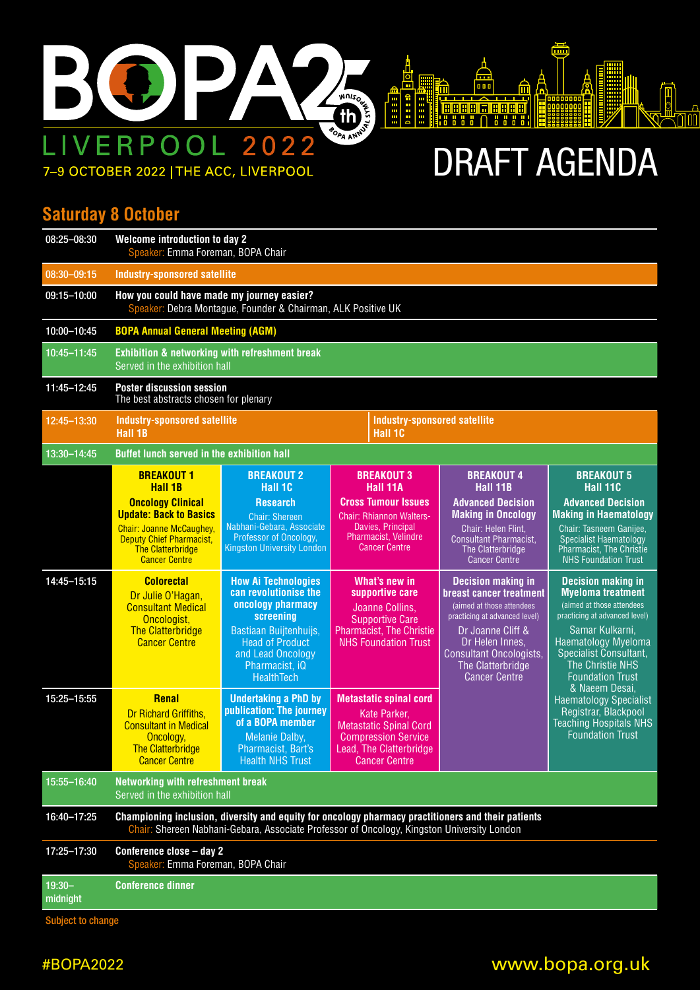

# DRAFT AGENDA

<u>diri</u>

₩

 $\sqrt{\frac{1}{6}}$ 

**Aguit** 

### **Saturday 8 October**

| 08:25-08:30           | Welcome introduction to day 2<br>Speaker: Emma Foreman, BOPA Chair                                                                                                                 |                                                                                                                                                                                                       |                                                                                                                                                 |                                                                                                                                                                                                                                           |                                                                                                                                                                                                                                        |  |  |  |
|-----------------------|------------------------------------------------------------------------------------------------------------------------------------------------------------------------------------|-------------------------------------------------------------------------------------------------------------------------------------------------------------------------------------------------------|-------------------------------------------------------------------------------------------------------------------------------------------------|-------------------------------------------------------------------------------------------------------------------------------------------------------------------------------------------------------------------------------------------|----------------------------------------------------------------------------------------------------------------------------------------------------------------------------------------------------------------------------------------|--|--|--|
| 08:30-09:15           | Industry-sponsored satellite                                                                                                                                                       |                                                                                                                                                                                                       |                                                                                                                                                 |                                                                                                                                                                                                                                           |                                                                                                                                                                                                                                        |  |  |  |
| 09:15-10:00           | How you could have made my journey easier?<br>Speaker: Debra Montague, Founder & Chairman, ALK Positive UK                                                                         |                                                                                                                                                                                                       |                                                                                                                                                 |                                                                                                                                                                                                                                           |                                                                                                                                                                                                                                        |  |  |  |
| 10:00-10:45           | <b>BOPA Annual General Meeting (AGM)</b>                                                                                                                                           |                                                                                                                                                                                                       |                                                                                                                                                 |                                                                                                                                                                                                                                           |                                                                                                                                                                                                                                        |  |  |  |
| 10:45-11:45           | <b>Exhibition &amp; networking with refreshment break</b><br>Served in the exhibition hall                                                                                         |                                                                                                                                                                                                       |                                                                                                                                                 |                                                                                                                                                                                                                                           |                                                                                                                                                                                                                                        |  |  |  |
| 11:45-12:45           | <b>Poster discussion session</b><br>The best abstracts chosen for plenary                                                                                                          |                                                                                                                                                                                                       |                                                                                                                                                 |                                                                                                                                                                                                                                           |                                                                                                                                                                                                                                        |  |  |  |
| 12:45-13:30           | Industry-sponsored satellite<br>Hall 1B                                                                                                                                            |                                                                                                                                                                                                       | <b>Industry-sponsored satellite</b><br>Hall 1C                                                                                                  |                                                                                                                                                                                                                                           |                                                                                                                                                                                                                                        |  |  |  |
| 13:30-14:45           | Buffet lunch served in the exhibition hall                                                                                                                                         |                                                                                                                                                                                                       |                                                                                                                                                 |                                                                                                                                                                                                                                           |                                                                                                                                                                                                                                        |  |  |  |
|                       | <b>BREAKOUT 1</b><br>Hall 1B                                                                                                                                                       | <b>BREAKOUT 2</b><br>Hall 1C                                                                                                                                                                          | <b>BREAKOUT 3</b><br>Hall 11A                                                                                                                   | <b>BREAKOUT 4</b><br>Hall 11B                                                                                                                                                                                                             | <b>BREAKOUT 5</b><br>Hall 11C                                                                                                                                                                                                          |  |  |  |
|                       | <b>Oncology Clinical</b><br><b>Update: Back to Basics</b><br><b>Chair: Joanne McCaughey</b><br><b>Deputy Chief Pharmacist,</b><br><b>The Clatterbridge</b><br><b>Cancer Centre</b> | <b>Research</b><br><b>Chair: Shereen</b><br>Nabhani-Gebara, Associate<br>Professor of Oncology,<br><b>Kingston University London</b>                                                                  | <b>Cross Tumour Issues</b><br><b>Chair: Rhiannon Walters-</b><br>Davies, Principal<br>Pharmacist, Velindre<br><b>Cancer Centre</b>              | <b>Advanced Decision</b><br><b>Making in Oncology</b><br>Chair: Helen Flint,<br><b>Consultant Pharmacist,</b><br>The Clatterbridge<br><b>Cancer Centre</b>                                                                                | <b>Advanced Decision</b><br><b>Making in Haematology</b><br>Chair: Tasneem Ganijee,<br><b>Specialist Haematology</b><br><b>Pharmacist, The Christie</b><br><b>NHS Foundation Trust</b>                                                 |  |  |  |
| 14:45-15:15           | <b>Colorectal</b><br>Dr Julie O'Hagan,<br><b>Consultant Medical</b><br>Oncologist,<br><b>The Clatterbridge</b><br><b>Cancer Centre</b>                                             | <b>How Ai Technologies</b><br>can revolutionise the<br>oncology pharmacy<br>screening<br>Bastiaan Buijtenhuijs,<br><b>Head of Product</b><br>and Lead Oncology<br>Pharmacist. iQ<br><b>HealthTech</b> | What's new in<br>supportive care<br>Joanne Collins,<br><b>Supportive Care</b><br><b>Pharmacist, The Christie</b><br><b>NHS Foundation Trust</b> | <b>Decision making in</b><br><b>breast cancer treatment</b><br>(aimed at those attendees<br>practicing at advanced level)<br>Dr Joanne Cliff &<br>Dr Helen Innes,<br>Consultant Oncologists,<br>The Clatterbridge<br><b>Cancer Centre</b> | <b>Decision making in</b><br><b>Myeloma</b> treatment<br>(aimed at those attendees<br>practicing at advanced level)<br>Samar Kulkarni,<br>Haematology Myeloma<br>Specialist Consultant,<br>The Christie NHS<br><b>Foundation Trust</b> |  |  |  |
| 15:25-15:55           | <b>Renal</b>                                                                                                                                                                       | <b>Undertaking a PhD by</b>                                                                                                                                                                           | <b>Metastatic spinal cord</b>                                                                                                                   |                                                                                                                                                                                                                                           | & Naeem Desai.<br><b>Haematology Specialist</b>                                                                                                                                                                                        |  |  |  |
|                       | <b>Dr Richard Griffiths.</b><br><b>Consultant in Medical</b><br>Oncology,<br><b>The Clatterbridge</b><br><b>Cancer Centre</b>                                                      | publication: The journey<br>of a BOPA member<br>Melanie Dalby,<br>Pharmacist, Bart's<br><b>Health NHS Trust</b>                                                                                       | Kate Parker,<br><b>Metastatic Spinal Cord</b><br><b>Compression Service</b><br>Lead, The Clatterbridge<br><b>Cancer Centre</b>                  |                                                                                                                                                                                                                                           | Registrar, Blackpool<br><b>Teaching Hospitals NHS</b><br><b>Foundation Trust</b>                                                                                                                                                       |  |  |  |
| 15:55-16:40           | Networking with refreshment break<br>Served in the exhibition hall                                                                                                                 |                                                                                                                                                                                                       |                                                                                                                                                 |                                                                                                                                                                                                                                           |                                                                                                                                                                                                                                        |  |  |  |
| 16:40-17:25           |                                                                                                                                                                                    | Championing inclusion, diversity and equity for oncology pharmacy practitioners and their patients<br>Chair: Shereen Nabhani-Gebara, Associate Professor of Oncology, Kingston University London      |                                                                                                                                                 |                                                                                                                                                                                                                                           |                                                                                                                                                                                                                                        |  |  |  |
| 17:25-17:30           | Conference close - day 2<br>Speaker: Emma Foreman, BOPA Chair                                                                                                                      |                                                                                                                                                                                                       |                                                                                                                                                 |                                                                                                                                                                                                                                           |                                                                                                                                                                                                                                        |  |  |  |
| $19:30 -$<br>midnight | <b>Conference dinner</b>                                                                                                                                                           |                                                                                                                                                                                                       |                                                                                                                                                 |                                                                                                                                                                                                                                           |                                                                                                                                                                                                                                        |  |  |  |

Subject to change

### #BOPA2022 www.bopa.org.uk